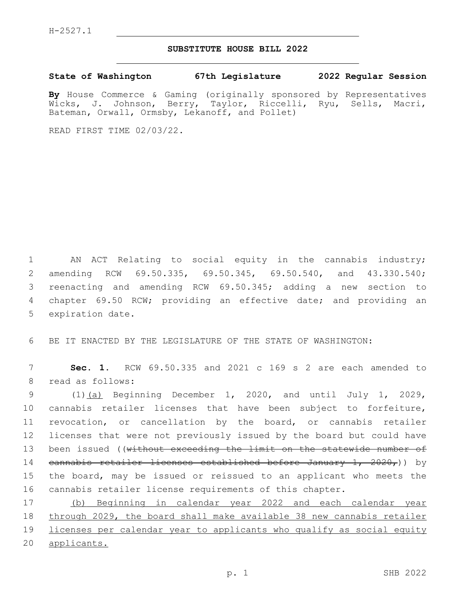## **SUBSTITUTE HOUSE BILL 2022**

**State of Washington 67th Legislature 2022 Regular Session**

**By** House Commerce & Gaming (originally sponsored by Representatives Wicks, J. Johnson, Berry, Taylor, Riccelli, Ryu, Sells, Macri, Bateman, Orwall, Ormsby, Lekanoff, and Pollet)

READ FIRST TIME 02/03/22.

 AN ACT Relating to social equity in the cannabis industry; amending RCW 69.50.335, 69.50.345, 69.50.540, and 43.330.540; reenacting and amending RCW 69.50.345; adding a new section to chapter 69.50 RCW; providing an effective date; and providing an 5 expiration date.

BE IT ENACTED BY THE LEGISLATURE OF THE STATE OF WASHINGTON:

 **Sec. 1.** RCW 69.50.335 and 2021 c 169 s 2 are each amended to 8 read as follows:

 (1)(a) Beginning December 1, 2020, and until July 1, 2029, cannabis retailer licenses that have been subject to forfeiture, revocation, or cancellation by the board, or cannabis retailer licenses that were not previously issued by the board but could have 13 been issued ((without exceeding the limit on the statewide number of cannabis retailer licenses established before January 1, 2020,)) by the board, may be issued or reissued to an applicant who meets the cannabis retailer license requirements of this chapter.

 (b) Beginning in calendar year 2022 and each calendar year through 2029, the board shall make available 38 new cannabis retailer licenses per calendar year to applicants who qualify as social equity applicants.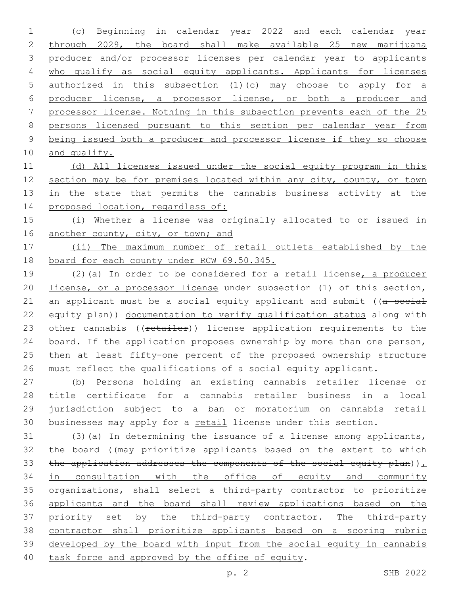(c) Beginning in calendar year 2022 and each calendar year through 2029, the board shall make available 25 new marijuana producer and/or processor licenses per calendar year to applicants 4 who qualify as social equity applicants. Applicants for licenses authorized in this subsection (1)(c) may choose to apply for a producer license, a processor license, or both a producer and processor license. Nothing in this subsection prevents each of the 25 persons licensed pursuant to this section per calendar year from being issued both a producer and processor license if they so choose and qualify.

 (d) All licenses issued under the social equity program in this 12 section may be for premises located within any city, county, or town 13 in the state that permits the cannabis business activity at the 14 proposed location, regardless of:

 (i) Whether a license was originally allocated to or issued in 16 another county, city, or town; and

 (ii) The maximum number of retail outlets established by the board for each county under RCW 69.50.345.

 (2)(a) In order to be considered for a retail license, a producer license, or a processor license under subsection (1) of this section, 21 an applicant must be a social equity applicant and submit ((a social 22 equity plan)) documentation to verify qualification status along with 23 other cannabis ((retailer)) license application requirements to the board. If the application proposes ownership by more than one person, then at least fifty-one percent of the proposed ownership structure must reflect the qualifications of a social equity applicant.

 (b) Persons holding an existing cannabis retailer license or title certificate for a cannabis retailer business in a local jurisdiction subject to a ban or moratorium on cannabis retail 30 businesses may apply for a retail license under this section.

 (3)(a) In determining the issuance of a license among applicants, 32 the board ((may prioritize applicants based on the extent to which 33 the application addresses the components of the social equity plan)) $<sub>L</sub>$ </sub> in consultation with the office of equity and community organizations, shall select a third-party contractor to prioritize applicants and the board shall review applications based on the 37 priority set by the third-party contractor. The third-party contractor shall prioritize applicants based on a scoring rubric developed by the board with input from the social equity in cannabis 40 task force and approved by the office of equity.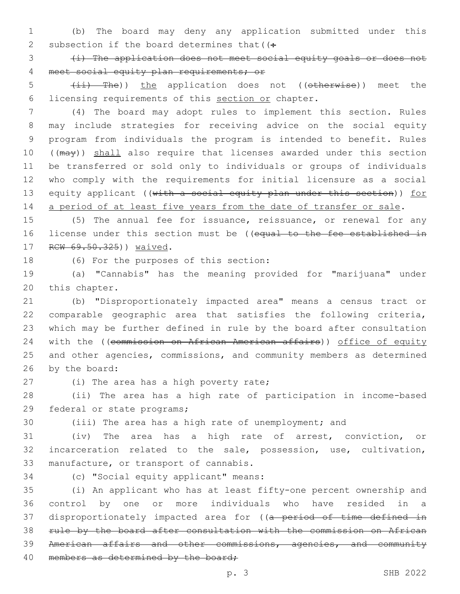1 (b) The board may deny any application submitted under this 2 subsection if the board determines that  $($ :

3 (i) The application does not meet social equity goals or does not 4 meet social equity plan requirements; or

5 (ii) The)) the application does not ((otherwise)) meet the 6 licensing requirements of this section or chapter.

 (4) The board may adopt rules to implement this section. Rules may include strategies for receiving advice on the social equity program from individuals the program is intended to benefit. Rules 10 ((may)) shall also require that licenses awarded under this section be transferred or sold only to individuals or groups of individuals who comply with the requirements for initial licensure as a social 13 equity applicant ((with a social equity plan under this section)) for 14 a period of at least five years from the date of transfer or sale.

15 (5) The annual fee for issuance, reissuance, or renewal for any 16 license under this section must be ((equal to the fee established in 17 RCW 69.50.325)) waived.

18 (6) For the purposes of this section:

19 (a) "Cannabis" has the meaning provided for "marijuana" under 20 this chapter.

 (b) "Disproportionately impacted area" means a census tract or comparable geographic area that satisfies the following criteria, which may be further defined in rule by the board after consultation 24 with the ((commission on African American affairs)) office of equity and other agencies, commissions, and community members as determined 26 by the board:

27 (i) The area has a high poverty rate;

28 (ii) The area has a high rate of participation in income-based 29 federal or state programs;

30 (iii) The area has a high rate of unemployment; and

31 (iv) The area has a high rate of arrest, conviction, or 32 incarceration related to the sale, possession, use, cultivation, 33 manufacture, or transport of cannabis.

34 (c) "Social equity applicant" means:

 (i) An applicant who has at least fifty-one percent ownership and control by one or more individuals who have resided in a 37 disproportionately impacted area for ((a period of time defined in rule by the board after consultation with the commission on African American affairs and other commissions, agencies, and community 40 members as determined by the board;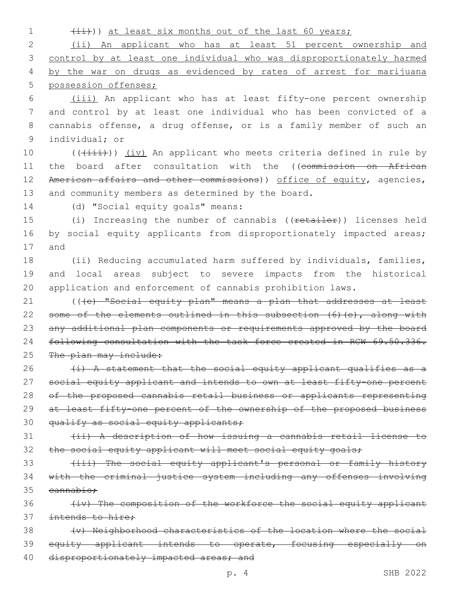1 (ii))) at least six months out of the last 60 years;

 (ii) An applicant who has at least 51 percent ownership and control by at least one individual who was disproportionately harmed 4 by the war on drugs as evidenced by rates of arrest for marijuana possession offenses;

 (iii) An applicant who has at least fifty-one percent ownership and control by at least one individual who has been convicted of a cannabis offense, a drug offense, or is a family member of such an 9 individual; or

10 (( $(i$ ii))) (iv) An applicant who meets criteria defined in rule by 11 the board after consultation with the ((commission on African 12 American affairs and other commissions)) office of equity, agencies, 13 and community members as determined by the board.

14 (d) "Social equity goals" means:

15 (i) Increasing the number of cannabis ((retailer)) licenses held 16 by social equity applicants from disproportionately impacted areas; 17 and

18 (ii) Reducing accumulated harm suffered by individuals, families, 19 and local areas subject to severe impacts from the historical 20 application and enforcement of cannabis prohibition laws.

21 (((e) "Social equity plan" means a plan that addresses at least 22 some of the elements outlined in this subsection (6)(e), along with 23 any additional plan components or requirements approved by the board 24 following consultation with the task force created in RCW 69.50.336. 25 The plan may include:

26  $(i)$  A statement that the social equity applicant qualifies as a 27 social equity applicant and intends to own at least fifty-one percent 28 of the proposed cannabis retail business or applicants representing 29 at least fifty-one percent of the ownership of the proposed business 30 qualify as social equity applicants;

31 (ii) A description of how issuing a cannabis retail license to 32 the social equity applicant will meet social equity goals;

33 (iii) The social equity applicant's personal or family history 34 with the criminal justice system including any offenses involving  $35$  cannabis:

36 (iv) The composition of the workforce the social equity applicant 37 intends to hire:

38 (v) Neighborhood characteristics of the location where the social 39 equity applicant intends to operate, focusing especially on 40 disproportionately impacted areas; and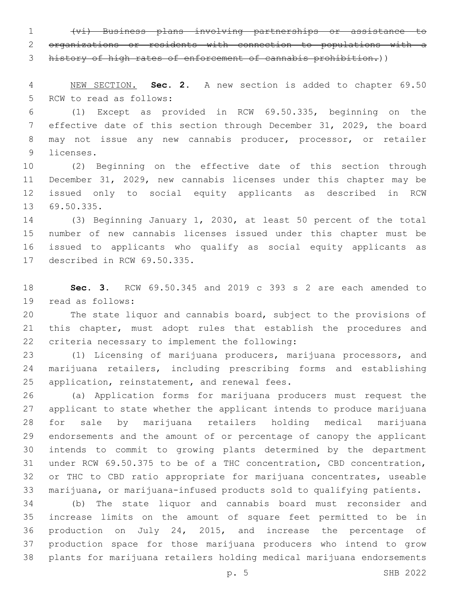(vi) Business plans involving partnerships or assistance to organizations or residents with connection to populations with a

history of high rates of enforcement of cannabis prohibition.))

 NEW SECTION. **Sec. 2.** A new section is added to chapter 69.50 5 RCW to read as follows:

 (1) Except as provided in RCW 69.50.335, beginning on the effective date of this section through December 31, 2029, the board may not issue any new cannabis producer, processor, or retailer 9 licenses.

 (2) Beginning on the effective date of this section through December 31, 2029, new cannabis licenses under this chapter may be issued only to social equity applicants as described in RCW 13 69.50.335.

 (3) Beginning January 1, 2030, at least 50 percent of the total number of new cannabis licenses issued under this chapter must be issued to applicants who qualify as social equity applicants as 17 described in RCW 69.50.335.

 **Sec. 3.** RCW 69.50.345 and 2019 c 393 s 2 are each amended to 19 read as follows:

 The state liquor and cannabis board, subject to the provisions of this chapter, must adopt rules that establish the procedures and 22 criteria necessary to implement the following:

 (1) Licensing of marijuana producers, marijuana processors, and marijuana retailers, including prescribing forms and establishing 25 application, reinstatement, and renewal fees.

 (a) Application forms for marijuana producers must request the applicant to state whether the applicant intends to produce marijuana for sale by marijuana retailers holding medical marijuana endorsements and the amount of or percentage of canopy the applicant intends to commit to growing plants determined by the department under RCW 69.50.375 to be of a THC concentration, CBD concentration, or THC to CBD ratio appropriate for marijuana concentrates, useable marijuana, or marijuana-infused products sold to qualifying patients.

 (b) The state liquor and cannabis board must reconsider and increase limits on the amount of square feet permitted to be in production on July 24, 2015, and increase the percentage of production space for those marijuana producers who intend to grow plants for marijuana retailers holding medical marijuana endorsements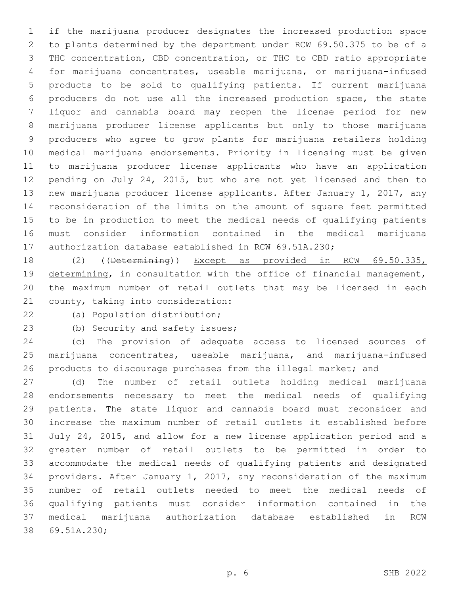if the marijuana producer designates the increased production space to plants determined by the department under RCW 69.50.375 to be of a THC concentration, CBD concentration, or THC to CBD ratio appropriate for marijuana concentrates, useable marijuana, or marijuana-infused products to be sold to qualifying patients. If current marijuana producers do not use all the increased production space, the state liquor and cannabis board may reopen the license period for new marijuana producer license applicants but only to those marijuana producers who agree to grow plants for marijuana retailers holding medical marijuana endorsements. Priority in licensing must be given to marijuana producer license applicants who have an application pending on July 24, 2015, but who are not yet licensed and then to new marijuana producer license applicants. After January 1, 2017, any reconsideration of the limits on the amount of square feet permitted to be in production to meet the medical needs of qualifying patients must consider information contained in the medical marijuana authorization database established in RCW 69.51A.230;

 (2) ((Determining)) Except as provided in RCW 69.50.335, 19 determining, in consultation with the office of financial management, the maximum number of retail outlets that may be licensed in each 21 county, taking into consideration:

22 (a) Population distribution;

23 (b) Security and safety issues;

 (c) The provision of adequate access to licensed sources of marijuana concentrates, useable marijuana, and marijuana-infused products to discourage purchases from the illegal market; and

 (d) The number of retail outlets holding medical marijuana endorsements necessary to meet the medical needs of qualifying patients. The state liquor and cannabis board must reconsider and increase the maximum number of retail outlets it established before July 24, 2015, and allow for a new license application period and a greater number of retail outlets to be permitted in order to accommodate the medical needs of qualifying patients and designated providers. After January 1, 2017, any reconsideration of the maximum number of retail outlets needed to meet the medical needs of qualifying patients must consider information contained in the medical marijuana authorization database established in RCW 38 69.51A.230;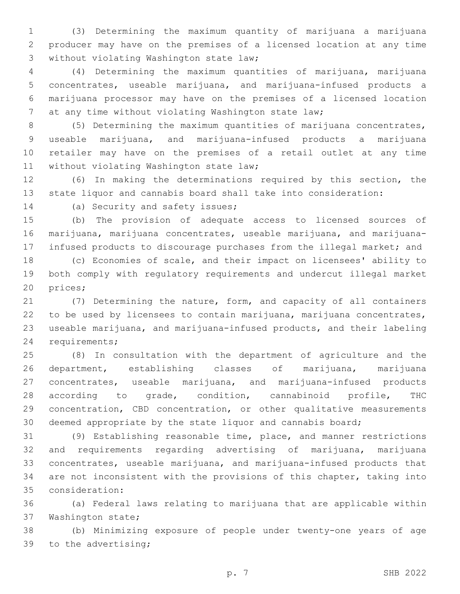(3) Determining the maximum quantity of marijuana a marijuana producer may have on the premises of a licensed location at any time 3 without violating Washington state law;

 (4) Determining the maximum quantities of marijuana, marijuana concentrates, useable marijuana, and marijuana-infused products a marijuana processor may have on the premises of a licensed location at any time without violating Washington state law;

 (5) Determining the maximum quantities of marijuana concentrates, useable marijuana, and marijuana-infused products a marijuana retailer may have on the premises of a retail outlet at any time 11 without violating Washington state law;

 (6) In making the determinations required by this section, the state liquor and cannabis board shall take into consideration:

14 (a) Security and safety issues;

 (b) The provision of adequate access to licensed sources of marijuana, marijuana concentrates, useable marijuana, and marijuana-infused products to discourage purchases from the illegal market; and

 (c) Economies of scale, and their impact on licensees' ability to both comply with regulatory requirements and undercut illegal market 20 prices;

 (7) Determining the nature, form, and capacity of all containers to be used by licensees to contain marijuana, marijuana concentrates, useable marijuana, and marijuana-infused products, and their labeling 24 requirements;

 (8) In consultation with the department of agriculture and the department, establishing classes of marijuana, marijuana concentrates, useable marijuana, and marijuana-infused products according to grade, condition, cannabinoid profile, THC concentration, CBD concentration, or other qualitative measurements deemed appropriate by the state liquor and cannabis board;

 (9) Establishing reasonable time, place, and manner restrictions and requirements regarding advertising of marijuana, marijuana concentrates, useable marijuana, and marijuana-infused products that are not inconsistent with the provisions of this chapter, taking into consideration:35

 (a) Federal laws relating to marijuana that are applicable within 37 Washington state;

 (b) Minimizing exposure of people under twenty-one years of age 39 to the advertising;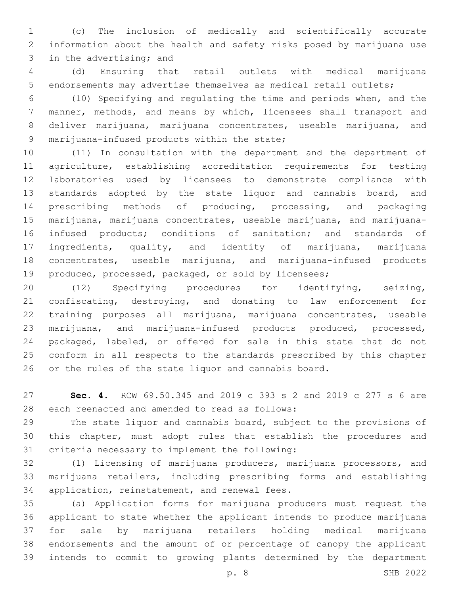(c) The inclusion of medically and scientifically accurate information about the health and safety risks posed by marijuana use 3 in the advertising; and

 (d) Ensuring that retail outlets with medical marijuana endorsements may advertise themselves as medical retail outlets;

 (10) Specifying and regulating the time and periods when, and the manner, methods, and means by which, licensees shall transport and deliver marijuana, marijuana concentrates, useable marijuana, and 9 marijuana-infused products within the state;

 (11) In consultation with the department and the department of agriculture, establishing accreditation requirements for testing laboratories used by licensees to demonstrate compliance with standards adopted by the state liquor and cannabis board, and prescribing methods of producing, processing, and packaging marijuana, marijuana concentrates, useable marijuana, and marijuana- infused products; conditions of sanitation; and standards of ingredients, quality, and identity of marijuana, marijuana concentrates, useable marijuana, and marijuana-infused products produced, processed, packaged, or sold by licensees;

 (12) Specifying procedures for identifying, seizing, confiscating, destroying, and donating to law enforcement for training purposes all marijuana, marijuana concentrates, useable marijuana, and marijuana-infused products produced, processed, packaged, labeled, or offered for sale in this state that do not conform in all respects to the standards prescribed by this chapter or the rules of the state liquor and cannabis board.

 **Sec. 4.** RCW 69.50.345 and 2019 c 393 s 2 and 2019 c 277 s 6 are 28 each reenacted and amended to read as follows:

 The state liquor and cannabis board, subject to the provisions of this chapter, must adopt rules that establish the procedures and 31 criteria necessary to implement the following:

 (1) Licensing of marijuana producers, marijuana processors, and marijuana retailers, including prescribing forms and establishing 34 application, reinstatement, and renewal fees.

 (a) Application forms for marijuana producers must request the applicant to state whether the applicant intends to produce marijuana for sale by marijuana retailers holding medical marijuana endorsements and the amount of or percentage of canopy the applicant intends to commit to growing plants determined by the department

p. 8 SHB 2022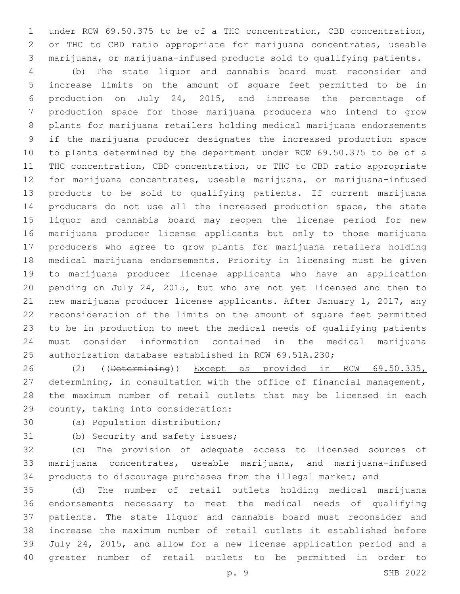under RCW 69.50.375 to be of a THC concentration, CBD concentration, or THC to CBD ratio appropriate for marijuana concentrates, useable marijuana, or marijuana-infused products sold to qualifying patients.

 (b) The state liquor and cannabis board must reconsider and increase limits on the amount of square feet permitted to be in production on July 24, 2015, and increase the percentage of production space for those marijuana producers who intend to grow plants for marijuana retailers holding medical marijuana endorsements if the marijuana producer designates the increased production space to plants determined by the department under RCW 69.50.375 to be of a THC concentration, CBD concentration, or THC to CBD ratio appropriate for marijuana concentrates, useable marijuana, or marijuana-infused products to be sold to qualifying patients. If current marijuana producers do not use all the increased production space, the state liquor and cannabis board may reopen the license period for new marijuana producer license applicants but only to those marijuana producers who agree to grow plants for marijuana retailers holding medical marijuana endorsements. Priority in licensing must be given to marijuana producer license applicants who have an application pending on July 24, 2015, but who are not yet licensed and then to new marijuana producer license applicants. After January 1, 2017, any reconsideration of the limits on the amount of square feet permitted to be in production to meet the medical needs of qualifying patients must consider information contained in the medical marijuana authorization database established in RCW 69.51A.230;

 (2) ((Determining)) Except as provided in RCW 69.50.335, 27 determining, in consultation with the office of financial management, the maximum number of retail outlets that may be licensed in each 29 county, taking into consideration:

30 (a) Population distribution;

31 (b) Security and safety issues;

 (c) The provision of adequate access to licensed sources of marijuana concentrates, useable marijuana, and marijuana-infused products to discourage purchases from the illegal market; and

 (d) The number of retail outlets holding medical marijuana endorsements necessary to meet the medical needs of qualifying patients. The state liquor and cannabis board must reconsider and increase the maximum number of retail outlets it established before July 24, 2015, and allow for a new license application period and a greater number of retail outlets to be permitted in order to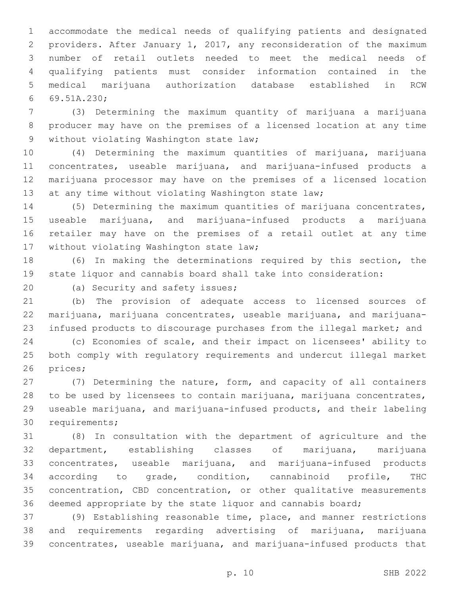accommodate the medical needs of qualifying patients and designated providers. After January 1, 2017, any reconsideration of the maximum number of retail outlets needed to meet the medical needs of qualifying patients must consider information contained in the medical marijuana authorization database established in RCW 69.51A.230;6

 (3) Determining the maximum quantity of marijuana a marijuana producer may have on the premises of a licensed location at any time 9 without violating Washington state law;

 (4) Determining the maximum quantities of marijuana, marijuana concentrates, useable marijuana, and marijuana-infused products a marijuana processor may have on the premises of a licensed location 13 at any time without violating Washington state law;

 (5) Determining the maximum quantities of marijuana concentrates, useable marijuana, and marijuana-infused products a marijuana retailer may have on the premises of a retail outlet at any time 17 without violating Washington state law;

 (6) In making the determinations required by this section, the state liquor and cannabis board shall take into consideration:

20 (a) Security and safety issues;

 (b) The provision of adequate access to licensed sources of marijuana, marijuana concentrates, useable marijuana, and marijuana-infused products to discourage purchases from the illegal market; and

 (c) Economies of scale, and their impact on licensees' ability to both comply with regulatory requirements and undercut illegal market 26 prices;

 (7) Determining the nature, form, and capacity of all containers to be used by licensees to contain marijuana, marijuana concentrates, useable marijuana, and marijuana-infused products, and their labeling 30 requirements;

 (8) In consultation with the department of agriculture and the department, establishing classes of marijuana, marijuana concentrates, useable marijuana, and marijuana-infused products according to grade, condition, cannabinoid profile, THC concentration, CBD concentration, or other qualitative measurements deemed appropriate by the state liquor and cannabis board;

 (9) Establishing reasonable time, place, and manner restrictions and requirements regarding advertising of marijuana, marijuana concentrates, useable marijuana, and marijuana-infused products that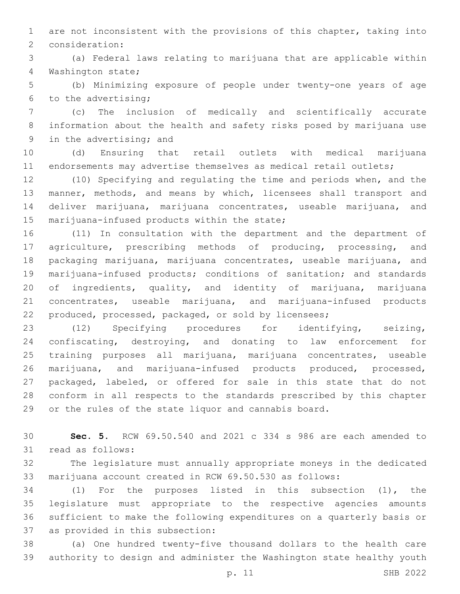are not inconsistent with the provisions of this chapter, taking into 2 consideration:

 (a) Federal laws relating to marijuana that are applicable within 4 Washington state;

 (b) Minimizing exposure of people under twenty-one years of age 6 to the advertising;

 (c) The inclusion of medically and scientifically accurate information about the health and safety risks posed by marijuana use 9 in the advertising; and

 (d) Ensuring that retail outlets with medical marijuana endorsements may advertise themselves as medical retail outlets;

 (10) Specifying and regulating the time and periods when, and the manner, methods, and means by which, licensees shall transport and deliver marijuana, marijuana concentrates, useable marijuana, and 15 marijuana-infused products within the state;

 (11) In consultation with the department and the department of agriculture, prescribing methods of producing, processing, and packaging marijuana, marijuana concentrates, useable marijuana, and marijuana-infused products; conditions of sanitation; and standards of ingredients, quality, and identity of marijuana, marijuana concentrates, useable marijuana, and marijuana-infused products produced, processed, packaged, or sold by licensees;

 (12) Specifying procedures for identifying, seizing, confiscating, destroying, and donating to law enforcement for training purposes all marijuana, marijuana concentrates, useable marijuana, and marijuana-infused products produced, processed, packaged, labeled, or offered for sale in this state that do not conform in all respects to the standards prescribed by this chapter or the rules of the state liquor and cannabis board.

 **Sec. 5.** RCW 69.50.540 and 2021 c 334 s 986 are each amended to 31 read as follows:

 The legislature must annually appropriate moneys in the dedicated marijuana account created in RCW 69.50.530 as follows:

 (1) For the purposes listed in this subsection (1), the legislature must appropriate to the respective agencies amounts sufficient to make the following expenditures on a quarterly basis or 37 as provided in this subsection:

 (a) One hundred twenty-five thousand dollars to the health care authority to design and administer the Washington state healthy youth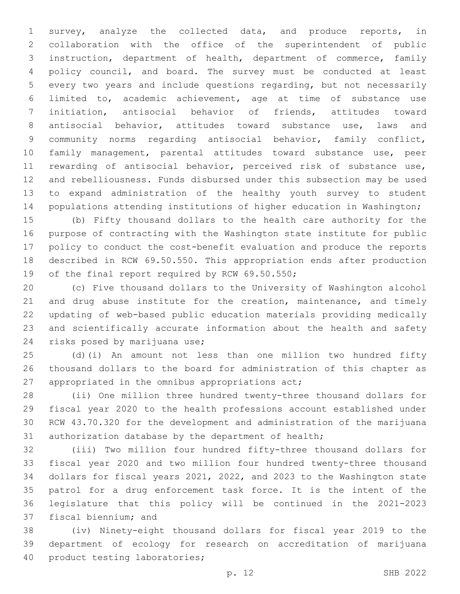survey, analyze the collected data, and produce reports, in collaboration with the office of the superintendent of public instruction, department of health, department of commerce, family policy council, and board. The survey must be conducted at least every two years and include questions regarding, but not necessarily limited to, academic achievement, age at time of substance use initiation, antisocial behavior of friends, attitudes toward antisocial behavior, attitudes toward substance use, laws and community norms regarding antisocial behavior, family conflict, family management, parental attitudes toward substance use, peer rewarding of antisocial behavior, perceived risk of substance use, and rebelliousness. Funds disbursed under this subsection may be used to expand administration of the healthy youth survey to student populations attending institutions of higher education in Washington;

 (b) Fifty thousand dollars to the health care authority for the purpose of contracting with the Washington state institute for public policy to conduct the cost-benefit evaluation and produce the reports described in RCW 69.50.550. This appropriation ends after production 19 of the final report required by RCW 69.50.550;

 (c) Five thousand dollars to the University of Washington alcohol 21 and drug abuse institute for the creation, maintenance, and timely updating of web-based public education materials providing medically and scientifically accurate information about the health and safety 24 risks posed by marijuana use;

 (d)(i) An amount not less than one million two hundred fifty thousand dollars to the board for administration of this chapter as 27 appropriated in the omnibus appropriations act;

 (ii) One million three hundred twenty-three thousand dollars for fiscal year 2020 to the health professions account established under RCW 43.70.320 for the development and administration of the marijuana authorization database by the department of health;

 (iii) Two million four hundred fifty-three thousand dollars for fiscal year 2020 and two million four hundred twenty-three thousand dollars for fiscal years 2021, 2022, and 2023 to the Washington state patrol for a drug enforcement task force. It is the intent of the legislature that this policy will be continued in the 2021-2023 37 fiscal biennium; and

 (iv) Ninety-eight thousand dollars for fiscal year 2019 to the department of ecology for research on accreditation of marijuana 40 product testing laboratories;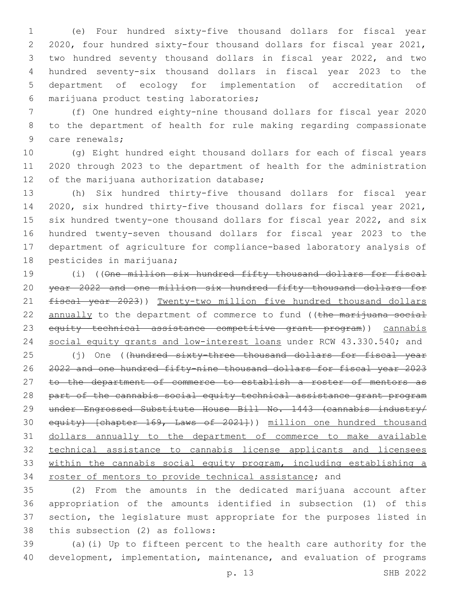(e) Four hundred sixty-five thousand dollars for fiscal year 2020, four hundred sixty-four thousand dollars for fiscal year 2021, two hundred seventy thousand dollars in fiscal year 2022, and two hundred seventy-six thousand dollars in fiscal year 2023 to the department of ecology for implementation of accreditation of marijuana product testing laboratories;6

 (f) One hundred eighty-nine thousand dollars for fiscal year 2020 to the department of health for rule making regarding compassionate 9 care renewals;

 (g) Eight hundred eight thousand dollars for each of fiscal years 2020 through 2023 to the department of health for the administration 12 of the marijuana authorization database;

 (h) Six hundred thirty-five thousand dollars for fiscal year 2020, six hundred thirty-five thousand dollars for fiscal year 2021, six hundred twenty-one thousand dollars for fiscal year 2022, and six hundred twenty-seven thousand dollars for fiscal year 2023 to the department of agriculture for compliance-based laboratory analysis of 18 pesticides in marijuana;

 (i) ((One million six hundred fifty thousand dollars for fiscal year 2022 and one million six hundred fifty thousand dollars for fiscal year 2023)) Twenty-two million five hundred thousand dollars 22 annually to the department of commerce to fund ((the marijuana social equity technical assistance competitive grant program)) cannabis 24 social equity grants and low-interest loans under RCW 43.330.540; and

25 (j) One ((hundred sixty-three thousand dollars for fiscal year 2022 and one hundred fifty-nine thousand dollars for fiscal year 2023 27 to the department of commerce to establish a roster of mentors as part of the cannabis social equity technical assistance grant program under Engrossed Substitute House Bill No. 1443 (cannabis industry/ 30 equity) [chapter 169, Laws of 2021])) million one hundred thousand dollars annually to the department of commerce to make available technical assistance to cannabis license applicants and licensees within the cannabis social equity program, including establishing a 34 roster of mentors to provide technical assistance; and

 (2) From the amounts in the dedicated marijuana account after appropriation of the amounts identified in subsection (1) of this section, the legislature must appropriate for the purposes listed in 38 this subsection (2) as follows:

 (a)(i) Up to fifteen percent to the health care authority for the development, implementation, maintenance, and evaluation of programs

p. 13 SHB 2022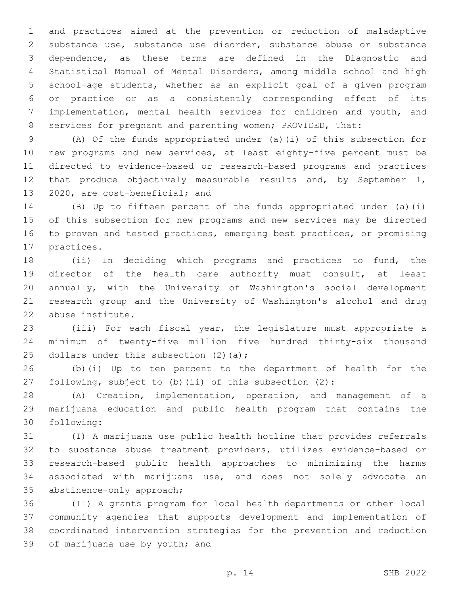and practices aimed at the prevention or reduction of maladaptive substance use, substance use disorder, substance abuse or substance dependence, as these terms are defined in the Diagnostic and Statistical Manual of Mental Disorders, among middle school and high school-age students, whether as an explicit goal of a given program or practice or as a consistently corresponding effect of its implementation, mental health services for children and youth, and 8 services for pregnant and parenting women; PROVIDED, That:

 (A) Of the funds appropriated under (a)(i) of this subsection for new programs and new services, at least eighty-five percent must be directed to evidence-based or research-based programs and practices 12 that produce objectively measurable results and, by September 1, 13 2020, are cost-beneficial; and

 (B) Up to fifteen percent of the funds appropriated under (a)(i) of this subsection for new programs and new services may be directed to proven and tested practices, emerging best practices, or promising 17 practices.

 (ii) In deciding which programs and practices to fund, the director of the health care authority must consult, at least annually, with the University of Washington's social development research group and the University of Washington's alcohol and drug 22 abuse institute.

 (iii) For each fiscal year, the legislature must appropriate a minimum of twenty-five million five hundred thirty-six thousand 25 dollars under this subsection  $(2)$   $(a)$ ;

 (b)(i) Up to ten percent to the department of health for the following, subject to (b)(ii) of this subsection (2):

 (A) Creation, implementation, operation, and management of a marijuana education and public health program that contains the following:30

 (I) A marijuana use public health hotline that provides referrals to substance abuse treatment providers, utilizes evidence-based or research-based public health approaches to minimizing the harms associated with marijuana use, and does not solely advocate an 35 abstinence-only approach;

 (II) A grants program for local health departments or other local community agencies that supports development and implementation of coordinated intervention strategies for the prevention and reduction 39 of marijuana use by youth; and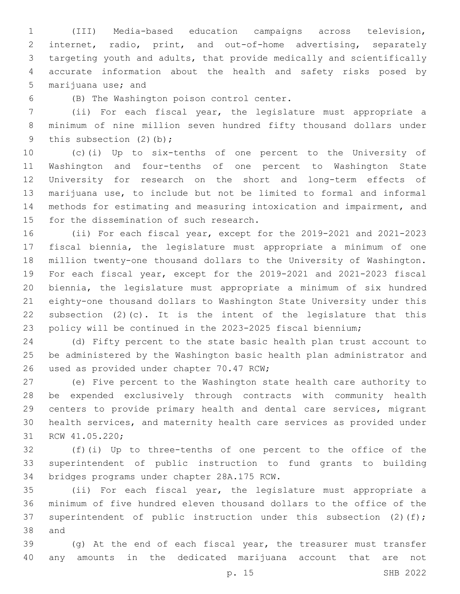(III) Media-based education campaigns across television, internet, radio, print, and out-of-home advertising, separately targeting youth and adults, that provide medically and scientifically accurate information about the health and safety risks posed by 5 marijuana use; and

6 (B) The Washington poison control center.

 (ii) For each fiscal year, the legislature must appropriate a minimum of nine million seven hundred fifty thousand dollars under 9 this subsection (2)(b);

 (c)(i) Up to six-tenths of one percent to the University of Washington and four-tenths of one percent to Washington State University for research on the short and long-term effects of marijuana use, to include but not be limited to formal and informal methods for estimating and measuring intoxication and impairment, and 15 for the dissemination of such research.

 (ii) For each fiscal year, except for the 2019-2021 and 2021-2023 fiscal biennia, the legislature must appropriate a minimum of one million twenty-one thousand dollars to the University of Washington. For each fiscal year, except for the 2019-2021 and 2021-2023 fiscal biennia, the legislature must appropriate a minimum of six hundred eighty-one thousand dollars to Washington State University under this 22 subsection  $(2)(c)$ . It is the intent of the legislature that this policy will be continued in the 2023-2025 fiscal biennium;

 (d) Fifty percent to the state basic health plan trust account to be administered by the Washington basic health plan administrator and 26 used as provided under chapter 70.47 RCW;

 (e) Five percent to the Washington state health care authority to be expended exclusively through contracts with community health centers to provide primary health and dental care services, migrant health services, and maternity health care services as provided under 31 RCW 41.05.220;

 (f)(i) Up to three-tenths of one percent to the office of the superintendent of public instruction to fund grants to building 34 bridges programs under chapter 28A.175 RCW.

 (ii) For each fiscal year, the legislature must appropriate a minimum of five hundred eleven thousand dollars to the office of the 37 superintendent of public instruction under this subsection (2)(f); 38 and

 (g) At the end of each fiscal year, the treasurer must transfer any amounts in the dedicated marijuana account that are not

p. 15 SHB 2022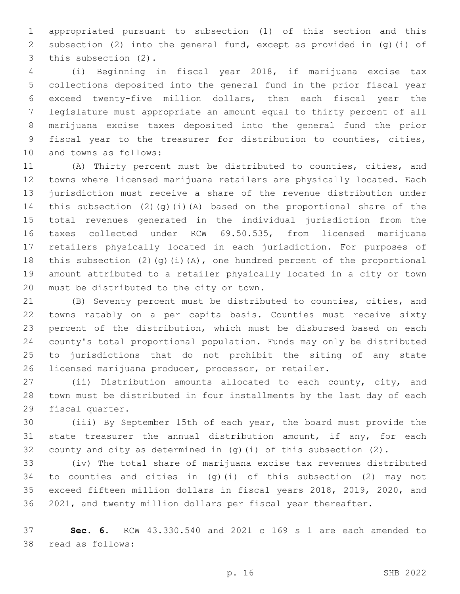appropriated pursuant to subsection (1) of this section and this subsection (2) into the general fund, except as provided in (g)(i) of 3 this subsection (2).

 (i) Beginning in fiscal year 2018, if marijuana excise tax collections deposited into the general fund in the prior fiscal year exceed twenty-five million dollars, then each fiscal year the legislature must appropriate an amount equal to thirty percent of all marijuana excise taxes deposited into the general fund the prior fiscal year to the treasurer for distribution to counties, cities, 10 and towns as follows:

 (A) Thirty percent must be distributed to counties, cities, and towns where licensed marijuana retailers are physically located. Each jurisdiction must receive a share of the revenue distribution under this subsection (2)(g)(i)(A) based on the proportional share of the total revenues generated in the individual jurisdiction from the taxes collected under RCW 69.50.535, from licensed marijuana retailers physically located in each jurisdiction. For purposes of this subsection (2)(g)(i)(A), one hundred percent of the proportional amount attributed to a retailer physically located in a city or town 20 must be distributed to the city or town.

 (B) Seventy percent must be distributed to counties, cities, and towns ratably on a per capita basis. Counties must receive sixty percent of the distribution, which must be disbursed based on each county's total proportional population. Funds may only be distributed to jurisdictions that do not prohibit the siting of any state licensed marijuana producer, processor, or retailer.

 (ii) Distribution amounts allocated to each county, city, and town must be distributed in four installments by the last day of each 29 fiscal quarter.

 (iii) By September 15th of each year, the board must provide the 31 state treasurer the annual distribution amount, if any, for each 32 county and city as determined in  $(q)$  (i) of this subsection  $(2)$ .

 (iv) The total share of marijuana excise tax revenues distributed to counties and cities in (g)(i) of this subsection (2) may not exceed fifteen million dollars in fiscal years 2018, 2019, 2020, and 2021, and twenty million dollars per fiscal year thereafter.

 **Sec. 6.** RCW 43.330.540 and 2021 c 169 s 1 are each amended to 38 read as follows: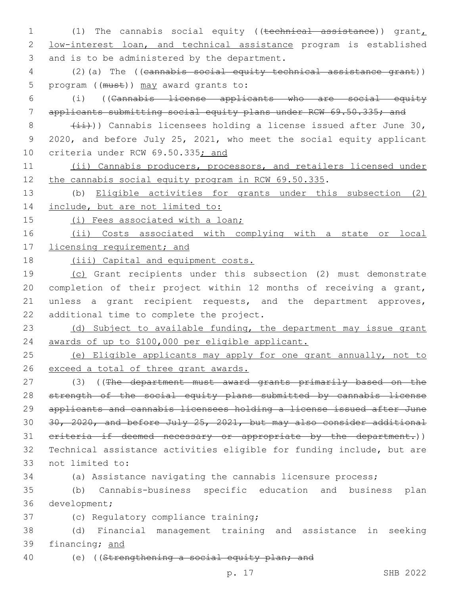1 (1) The cannabis social equity ((technical assistance)) grant, 2 low-interest loan, and technical assistance program is established 3 and is to be administered by the department.

4 (2)(a) The ((cannabis social equity technical assistance grant)) 5 program ((must)) may award grants to:

6 (i) ((Cannabis license applicants who are social equity 7 applicants submitting social equity plans under RCW 69.50.335; and

8  $(iii)$ ) Cannabis licensees holding a license issued after June 30, 9 2020, and before July 25, 2021, who meet the social equity applicant 10 criteria under RCW 69.50.335; and

11 (ii) Cannabis producers, processors, and retailers licensed under 12 the cannabis social equity program in RCW 69.50.335.

13 (b) Eligible activities for grants under this subsection (2) 14 include, but are not limited to:

15 (i) Fees associated with a loan;

16 (ii) Costs associated with complying with a state or local 17 licensing requirement; and

18 (iii) Capital and equipment costs.

19 (c) Grant recipients under this subsection (2) must demonstrate 20 completion of their project within 12 months of receiving a grant, 21 unless a grant recipient requests, and the department approves, 22 additional time to complete the project.

23 (d) Subject to available funding, the department may issue grant 24 awards of up to \$100,000 per eligible applicant.

25 (e) Eligible applicants may apply for one grant annually, not to 26 exceed a total of three grant awards.

27 (3) ((The department must award grants primarily based on the 28 strength of the social equity plans submitted by cannabis license 29 applicants and cannabis licensees holding a license issued after June 30 30, 2020, and before July 25, 2021, but may also consider additional 31 criteria if deemed necessary or appropriate by the department.)) 32 Technical assistance activities eligible for funding include, but are 33 not limited to:

34 (a) Assistance navigating the cannabis licensure process;

35 (b) Cannabis-business specific education and business plan 36 development;

37 (c) Regulatory compliance training;

38 (d) Financial management training and assistance in seeking 39 financing; and

40 (e) ((Strengthening a social equity plan; and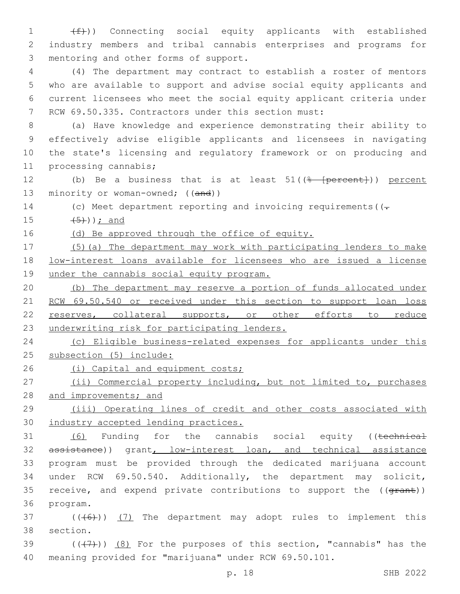1  $(f)$ ) Connecting social equity applicants with established 2 industry members and tribal cannabis enterprises and programs for 3 mentoring and other forms of support.

 (4) The department may contract to establish a roster of mentors who are available to support and advise social equity applicants and current licensees who meet the social equity applicant criteria under RCW 69.50.335. Contractors under this section must:

 (a) Have knowledge and experience demonstrating their ability to effectively advise eligible applicants and licensees in navigating the state's licensing and regulatory framework or on producing and 11 processing cannabis;

12 (b) Be a business that is at least 51((<del>% [percent]</del>)) percent 13 minority or woman-owned; ((and))

14 (c) Meet department reporting and invoicing requirements ( $(-$ 

15  $(5)$ ); and

16 (d) Be approved through the office of equity.

17 (5)(a) The department may work with participating lenders to make 18 low-interest loans available for licensees who are issued a license 19 under the cannabis social equity program.

20 (b) The department may reserve a portion of funds allocated under 21 RCW 69.50.540 or received under this section to support loan loss 22 reserves, collateral supports, or other efforts to reduce 23 underwriting risk for participating lenders.

24 (c) Eligible business-related expenses for applicants under this 25 subsection (5) include:

26 (i) Capital and equipment costs;

27 (ii) Commercial property including, but not limited to, purchases 28 and improvements; and

29 (iii) Operating lines of credit and other costs associated with 30 industry accepted lending practices.

31 (6) Funding for the cannabis social equity ((technical 32 assistance)) grant, low-interest loan, and technical assistance 33 program must be provided through the dedicated marijuana account 34 under RCW 69.50.540. Additionally, the department may solicit, 35 receive, and expend private contributions to support the ((grant)) 36 program.

 $37$  (( $(46)$ )) (7) The department may adopt rules to implement this 38 section.

39  $((+7+))$   $(8)$  For the purposes of this section, "cannabis" has the 40 meaning provided for "marijuana" under RCW 69.50.101.